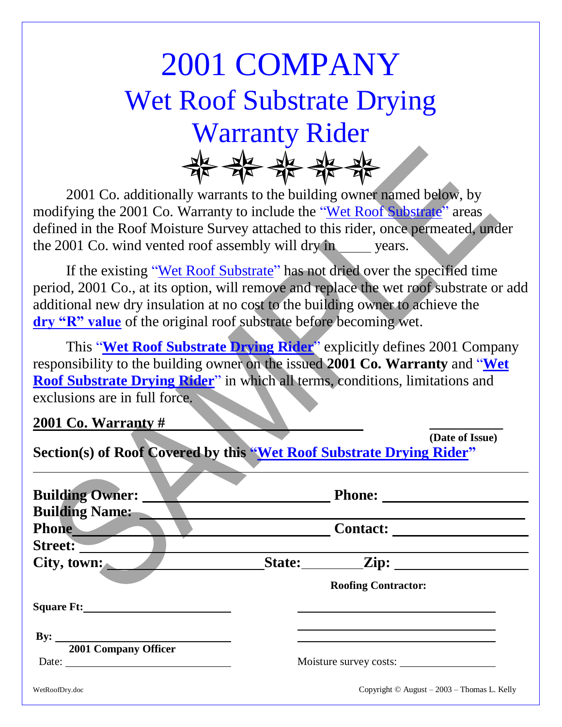## 2001 COMPANY Wet Roof Substrate Drying Warranty Rider<br>#<del>X AX AX AX</del>

2001 Co. additionally warrants to the building owner named below, by modifying the 2001 Co. Warranty to include the "Wet Roof Substrate" areas defined in the Roof Moisture Survey attached to this rider, once permeated, under the 2001 Co. wind vented roof assembly will dry in years.

If the existing "Wet Roof Substrate" has not dried over the specified time period, 2001 Co., at its option, will remove and replace the wet roof substrate or add additional new dry insulation at no cost to the building owner to achieve the **dry "R" value** of the original roof substrate before becoming wet.

This "**Wet Roof Substrate Drying Rider**" explicitly defines 2001 Company responsibility to the building owner on the issued **2001 Co. Warranty** and "**Wet Roof Substrate Drying Rider**" in which all terms, conditions, limitations and exclusions are in full force.

**2001 Co. Warranty # \_\_\_\_\_\_\_\_\_\_**

 $\overline{a}$ 

**(Date of Issue)**

**Section(s) of Roof Covered by this "Wet Roof Substrate Drying Rider"**

| <b>Building Owner:</b>                                                           |                                                   |
|----------------------------------------------------------------------------------|---------------------------------------------------|
| <b>Building Name:</b>                                                            |                                                   |
| <b>Phone</b>                                                                     |                                                   |
| Street:                                                                          |                                                   |
| City, town:                                                                      | State: <u>Zip:</u>                                |
|                                                                                  | <b>Roofing Contractor:</b>                        |
| Square Ft:                                                                       |                                                   |
| By: $\qquad \qquad$                                                              |                                                   |
| 2001 Company Officer<br>Date: $\frac{1}{\sqrt{1-\frac{1}{2}} \cdot \frac{1}{2}}$ | Moisture survey costs:                            |
| WetRoofDry.doc                                                                   | Copyright $\odot$ August – 2003 – Thomas L. Kelly |